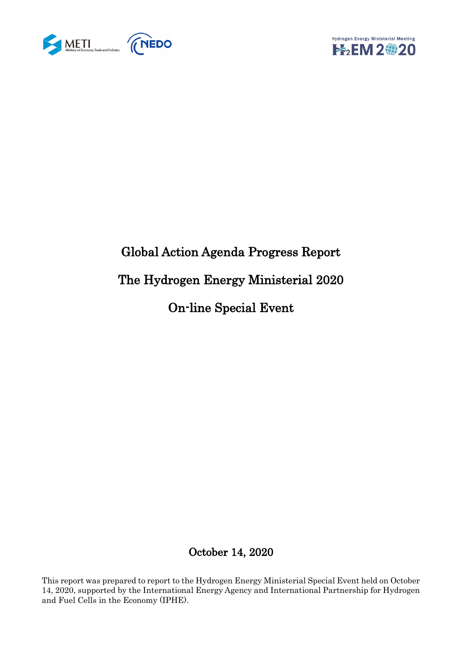



# Global Action Agenda Progress Report The Hydrogen Energy Ministerial 2020 On-line Special Event

## October 14, 2020

This report was prepared to report to the Hydrogen Energy Ministerial Special Event held on October 14, 2020, supported by the International Energy Agency and International Partnership for Hydrogen and Fuel Cells in the Economy (IPHE).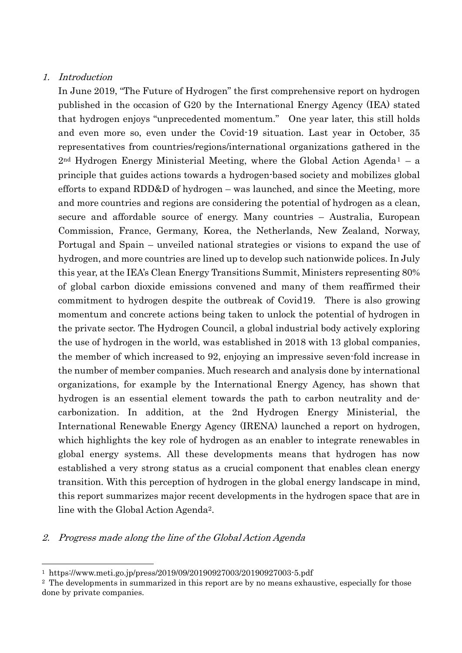#### 1. Introduction

-

In June 2019, "The Future of Hydrogen" the first comprehensive report on hydrogen published in the occasion of G20 by the International Energy Agency (IEA) stated that hydrogen enjoys "unprecedented momentum." One year later, this still holds and even more so, even under the Covid-19 situation. Last year in October, 35 representatives from countries/regions/international organizations gathered in the  $2<sup>nd</sup>$  Hydrogen Energy Ministerial Meeting, where the Global Action Agenda<sup>1</sup> – a principle that guides actions towards a hydrogen-based society and mobilizes global efforts to expand RDD&D of hydrogen – was launched, and since the Meeting, more and more countries and regions are considering the potential of hydrogen as a clean, secure and affordable source of energy. Many countries – Australia, European Commission, France, Germany, Korea, the Netherlands, New Zealand, Norway, Portugal and Spain – unveiled national strategies or visions to expand the use of hydrogen, and more countries are lined up to develop such nationwide polices. In July this year, at the IEA's Clean Energy Transitions Summit, Ministers representing 80% of global carbon dioxide emissions convened and many of them reaffirmed their commitment to hydrogen despite the outbreak of Covid19. There is also growing momentum and concrete actions being taken to unlock the potential of hydrogen in the private sector. The Hydrogen Council, a global industrial body actively exploring the use of hydrogen in the world, was established in 2018 with 13 global companies, the member of which increased to 92, enjoying an impressive seven-fold increase in the number of member companies. Much research and analysis done by international organizations, for example by the International Energy Agency, has shown that hydrogen is an essential element towards the path to carbon neutrality and decarbonization. In addition, at the 2nd Hydrogen Energy Ministerial, the International Renewable Energy Agency (IRENA) launched a report on hydrogen, which highlights the key role of hydrogen as an enabler to integrate renewables in global energy systems. All these developments means that hydrogen has now established a very strong status as a crucial component that enables clean energy transition. With this perception of hydrogen in the global energy landscape in mind, this report summarizes major recent developments in the hydrogen space that are in line with the Global Action Agenda2.

#### 2. Progress made along the line of the Global Action Agenda

<sup>1</sup> https://www.meti.go.jp/press/2019/09/20190927003/20190927003-5.pdf

<sup>2</sup> The developments in summarized in this report are by no means exhaustive, especially for those done by private companies.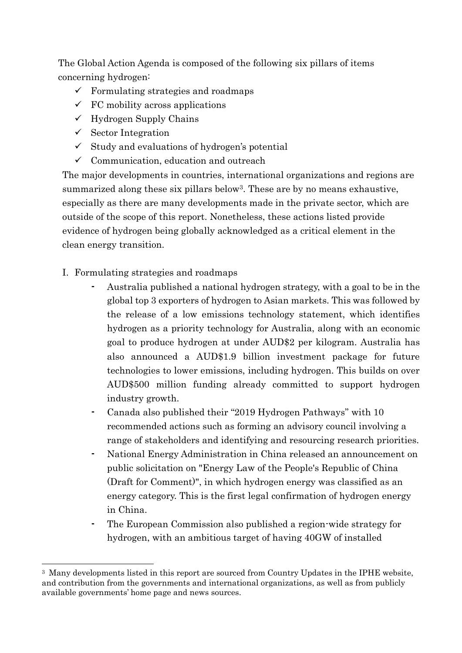The Global Action Agenda is composed of the following six pillars of items concerning hydrogen:

- $\checkmark$  Formulating strategies and roadmaps
- $\checkmark$  FC mobility across applications
- $\checkmark$  Hydrogen Supply Chains
- $\checkmark$  Sector Integration
- $\checkmark$  Study and evaluations of hydrogen's potential
- $\checkmark$  Communication, education and outreach

The major developments in countries, international organizations and regions are summarized along these six pillars below3. These are by no means exhaustive, especially as there are many developments made in the private sector, which are outside of the scope of this report. Nonetheless, these actions listed provide evidence of hydrogen being globally acknowledged as a critical element in the clean energy transition.

- I. Formulating strategies and roadmaps
	- Australia published a national hydrogen strategy, with a goal to be in the global top 3 exporters of hydrogen to Asian markets. This was followed by the release of a low emissions technology statement, which identifies hydrogen as a priority technology for Australia, along with an economic goal to produce hydrogen at under AUD\$2 per kilogram. Australia has also announced a AUD\$1.9 billion investment package for future technologies to lower emissions, including hydrogen. This builds on over AUD\$500 million funding already committed to support hydrogen industry growth.
	- Canada also published their "2019 Hydrogen Pathways" with 10 recommended actions such as forming an advisory council involving a range of stakeholders and identifying and resourcing research priorities.
	- National Energy Administration in China released an announcement on public solicitation on "Energy Law of the People's Republic of China (Draft for Comment)", in which hydrogen energy was classified as an energy category. This is the first legal confirmation of hydrogen energy in China.
	- ⁃ The European Commission also published a region-wide strategy for hydrogen, with an ambitious target of having 40GW of installed

<sup>-</sup><sup>3</sup> Many developments listed in this report are sourced from Country Updates in the IPHE website, and contribution from the governments and international organizations, as well as from publicly available governments' home page and news sources.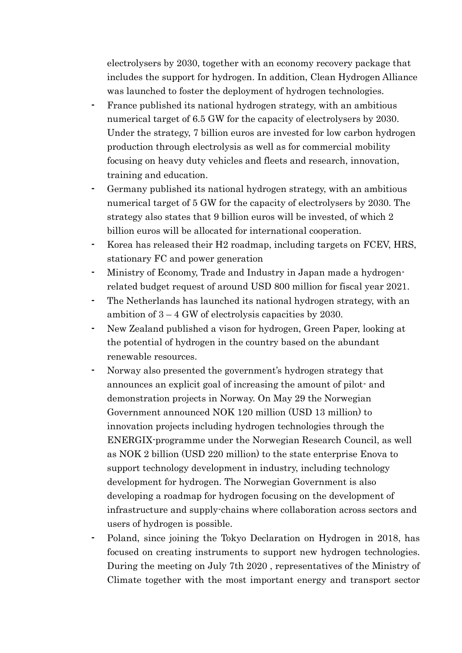electrolysers by 2030, together with an economy recovery package that includes the support for hydrogen. In addition, Clean Hydrogen Alliance was launched to foster the deployment of hydrogen technologies.

- France published its national hydrogen strategy, with an ambitious numerical target of 6.5 GW for the capacity of electrolysers by 2030. Under the strategy, 7 billion euros are invested for low carbon hydrogen production through electrolysis as well as for commercial mobility focusing on heavy duty vehicles and fleets and research, innovation, training and education.
- Germany published its national hydrogen strategy, with an ambitious numerical target of 5 GW for the capacity of electrolysers by 2030. The strategy also states that 9 billion euros will be invested, of which 2 billion euros will be allocated for international cooperation.
- Korea has released their H<sub>2</sub> roadmap, including targets on FCEV, HRS, stationary FC and power generation
- Ministry of Economy, Trade and Industry in Japan made a hydrogenrelated budget request of around USD 800 million for fiscal year 2021.
- The Netherlands has launched its national hydrogen strategy, with an ambition of 3 – 4 GW of electrolysis capacities by 2030.
- New Zealand published a vison for hydrogen, Green Paper, looking at the potential of hydrogen in the country based on the abundant renewable resources.
- Norway also presented the government's hydrogen strategy that announces an explicit goal of increasing the amount of pilot- and demonstration projects in Norway. On May 29 the Norwegian Government announced NOK 120 million (USD 13 million) to innovation projects including hydrogen technologies through the ENERGIX-programme under the Norwegian Research Council, as well as NOK 2 billion (USD 220 million) to the state enterprise Enova to support technology development in industry, including technology development for hydrogen. The Norwegian Government is also developing a roadmap for hydrogen focusing on the development of infrastructure and supply-chains where collaboration across sectors and users of hydrogen is possible.
- Poland, since joining the Tokyo Declaration on Hydrogen in 2018, has focused on creating instruments to support new hydrogen technologies. During the meeting on July 7th 2020 , representatives of the Ministry of Climate together with the most important energy and transport sector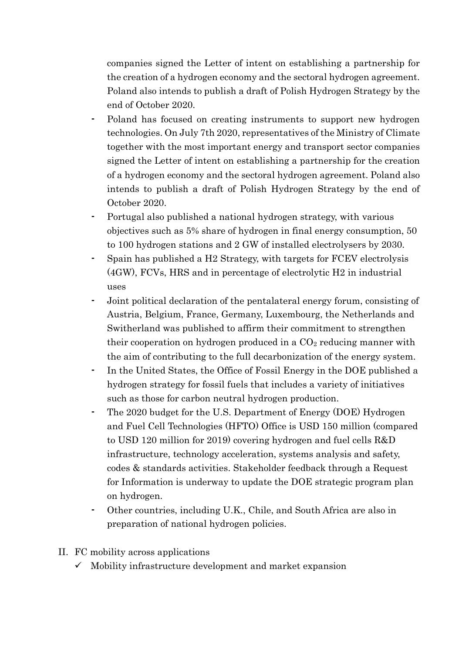companies signed the Letter of intent on establishing a partnership for the creation of a hydrogen economy and the sectoral hydrogen agreement. Poland also intends to publish a draft of Polish Hydrogen Strategy by the end of October 2020.

- Poland has focused on creating instruments to support new hydrogen technologies. On July 7th 2020, representatives of the Ministry of Climate together with the most important energy and transport sector companies signed the Letter of intent on establishing a partnership for the creation of a hydrogen economy and the sectoral hydrogen agreement. Poland also intends to publish a draft of Polish Hydrogen Strategy by the end of October 2020.
- Portugal also published a national hydrogen strategy, with various objectives such as 5% share of hydrogen in final energy consumption, 50 to 100 hydrogen stations and 2 GW of installed electrolysers by 2030.
- ⁃ Spain has published a H2 Strategy, with targets for FCEV electrolysis (4GW), FCVs, HRS and in percentage of electrolytic H2 in industrial uses
- Joint political declaration of the pentalateral energy forum, consisting of Austria, Belgium, France, Germany, Luxembourg, the Netherlands and Switherland was published to affirm their commitment to strengthen their cooperation on hydrogen produced in a  $CO<sub>2</sub>$  reducing manner with the aim of contributing to the full decarbonization of the energy system.
- In the United States, the Office of Fossil Energy in the DOE published a hydrogen strategy for fossil fuels that includes a variety of initiatives such as those for carbon neutral hydrogen production.
- The 2020 budget for the U.S. Department of Energy (DOE) Hydrogen and Fuel Cell Technologies (HFTO) Office is USD 150 million (compared to USD 120 million for 2019) covering hydrogen and fuel cells R&D infrastructure, technology acceleration, systems analysis and safety, codes & standards activities. Stakeholder feedback through a Request for Information is underway to update the DOE strategic program plan on hydrogen.
- ⁃ Other countries, including U.K., Chile, and South Africa are also in preparation of national hydrogen policies.
- II. FC mobility across applications
	- $\checkmark$  Mobility infrastructure development and market expansion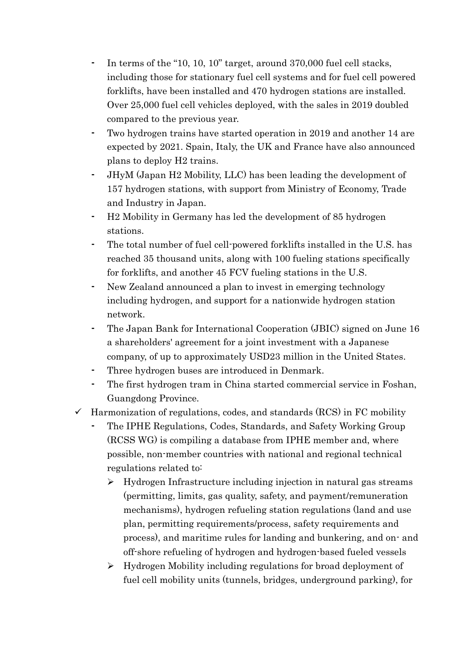- In terms of the "10, 10, 10" target, around 370,000 fuel cell stacks, including those for stationary fuel cell systems and for fuel cell powered forklifts, have been installed and 470 hydrogen stations are installed. Over 25,000 fuel cell vehicles deployed, with the sales in 2019 doubled compared to the previous year.
- Two hydrogen trains have started operation in 2019 and another 14 are expected by 2021. Spain, Italy, the UK and France have also announced plans to deploy H2 trains.
- ⁃ JHyM (Japan H2 Mobility, LLC) has been leading the development of 157 hydrogen stations, with support from Ministry of Economy, Trade and Industry in Japan.
- ⁃ H2 Mobility in Germany has led the development of 85 hydrogen stations.
- The total number of fuel cell-powered forklifts installed in the U.S. has reached 35 thousand units, along with 100 fueling stations specifically for forklifts, and another 45 FCV fueling stations in the U.S.
- New Zealand announced a plan to invest in emerging technology including hydrogen, and support for a nationwide hydrogen station network.
- ⁃ The Japan Bank for International Cooperation (JBIC) signed on June 16 a shareholders' agreement for a joint investment with a Japanese company, of up to approximately USD23 million in the United States.
- Three hydrogen buses are introduced in Denmark.
- The first hydrogen tram in China started commercial service in Foshan, Guangdong Province.
- $\checkmark$  Harmonization of regulations, codes, and standards (RCS) in FC mobility
	- ⁃ The IPHE Regulations, Codes, Standards, and Safety Working Group (RCSS WG) is compiling a database from IPHE member and, where possible, non-member countries with national and regional technical regulations related to:
		- Hydrogen Infrastructure including injection in natural gas streams (permitting, limits, gas quality, safety, and payment/remuneration mechanisms), hydrogen refueling station regulations (land and use plan, permitting requirements/process, safety requirements and process), and maritime rules for landing and bunkering, and on- and off-shore refueling of hydrogen and hydrogen-based fueled vessels
		- Hydrogen Mobility including regulations for broad deployment of fuel cell mobility units (tunnels, bridges, underground parking), for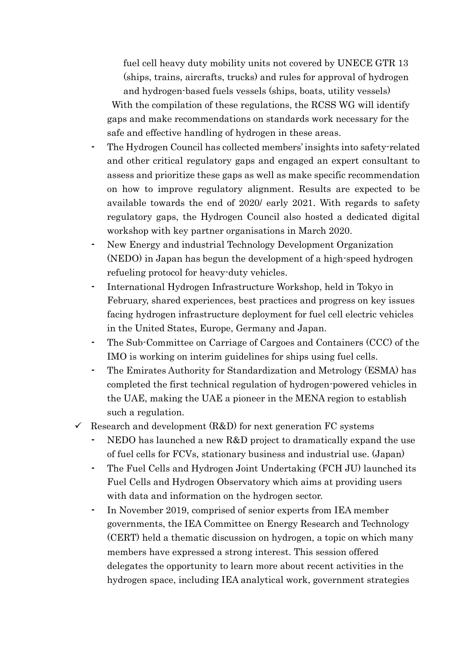fuel cell heavy duty mobility units not covered by UNECE GTR 13 (ships, trains, aircrafts, trucks) and rules for approval of hydrogen and hydrogen-based fuels vessels (ships, boats, utility vessels)

With the compilation of these regulations, the RCSS WG will identify gaps and make recommendations on standards work necessary for the safe and effective handling of hydrogen in these areas.

- ⁃ The Hydrogen Council has collected members' insights into safety-related and other critical regulatory gaps and engaged an expert consultant to assess and prioritize these gaps as well as make specific recommendation on how to improve regulatory alignment. Results are expected to be available towards the end of 2020/ early 2021. With regards to safety regulatory gaps, the Hydrogen Council also hosted a dedicated digital workshop with key partner organisations in March 2020.
- New Energy and industrial Technology Development Organization (NEDO) in Japan has begun the development of a high-speed hydrogen refueling protocol for heavy-duty vehicles.
- ⁃ International Hydrogen Infrastructure Workshop, held in Tokyo in February, shared experiences, best practices and progress on key issues facing hydrogen infrastructure deployment for fuel cell electric vehicles in the United States, Europe, Germany and Japan.
- ⁃ The Sub-Committee on Carriage of Cargoes and Containers (CCC) of the IMO is working on interim guidelines for ships using fuel cells.
- ⁃ The Emirates Authority for Standardization and Metrology (ESMA) has completed the first technical regulation of hydrogen-powered vehicles in the UAE, making the UAE a pioneer in the MENA region to establish such a regulation.
- $\checkmark$  Research and development (R&D) for next generation FC systems
	- NEDO has launched a new R&D project to dramatically expand the use of fuel cells for FCVs, stationary business and industrial use. (Japan)
	- The Fuel Cells and Hydrogen Joint Undertaking (FCH JU) launched its Fuel Cells and Hydrogen Observatory which aims at providing users with data and information on the hydrogen sector.
	- In November 2019, comprised of senior experts from IEA member governments, the IEA Committee on Energy Research and Technology (CERT) held a thematic discussion on hydrogen, a topic on which many members have expressed a strong interest. This session offered delegates the opportunity to learn more about recent activities in the hydrogen space, including IEA analytical work, government strategies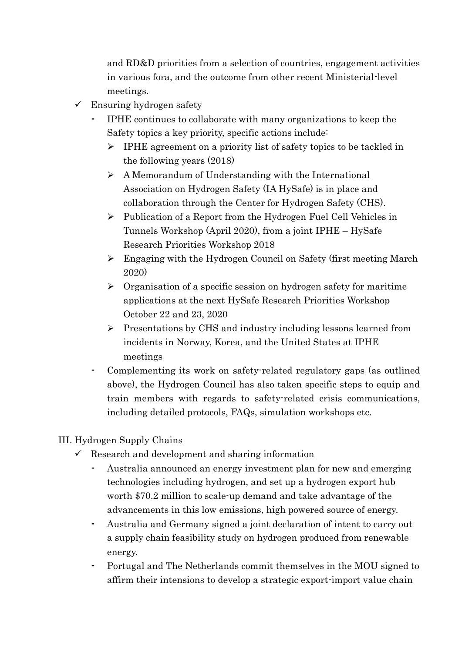and RD&D priorities from a selection of countries, engagement activities in various fora, and the outcome from other recent Ministerial-level meetings.

- $\checkmark$  Ensuring hydrogen safety
	- ⁃ IPHE continues to collaborate with many organizations to keep the Safety topics a key priority, specific actions include:
		- $\triangleright$  IPHE agreement on a priority list of safety topics to be tackled in the following years (2018)
		- $\triangleright$  A Memorandum of Understanding with the International Association on Hydrogen Safety (IA HySafe) is in place and collaboration through the Center for Hydrogen Safety (CHS).
		- Publication of a Report from the Hydrogen Fuel Cell Vehicles in Tunnels Workshop (April 2020), from a joint IPHE – HySafe Research Priorities Workshop 2018
		- Engaging with the Hydrogen Council on Safety (first meeting March 2020)
		- $\triangleright$  Organisation of a specific session on hydrogen safety for maritime applications at the next HySafe Research Priorities Workshop October 22 and 23, 2020
		- $\triangleright$  Presentations by CHS and industry including lessons learned from incidents in Norway, Korea, and the United States at IPHE meetings
	- Complementing its work on safety-related regulatory gaps (as outlined above), the Hydrogen Council has also taken specific steps to equip and train members with regards to safety-related crisis communications, including detailed protocols, FAQs, simulation workshops etc.
- III. Hydrogen Supply Chains
	- $\checkmark$  Research and development and sharing information
		- Australia announced an energy investment plan for new and emerging technologies including hydrogen, and set up a hydrogen export hub worth \$70.2 million to scale-up demand and take advantage of the advancements in this low emissions, high powered source of energy.
		- ⁃ Australia and Germany signed a joint declaration of intent to carry out a supply chain feasibility study on hydrogen produced from renewable energy.
		- Portugal and The Netherlands commit themselves in the MOU signed to affirm their intensions to develop a strategic export-import value chain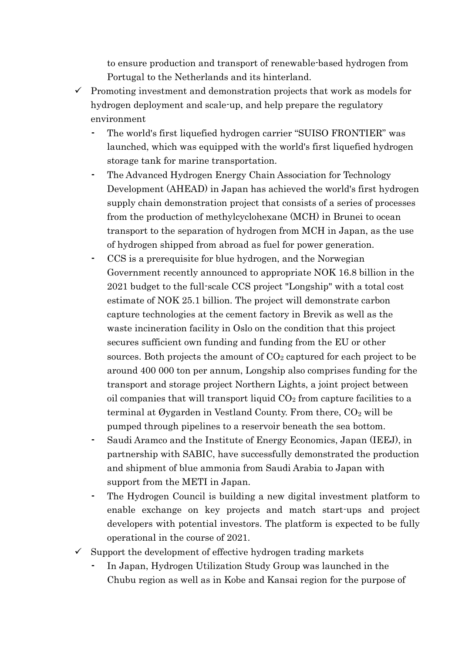to ensure production and transport of renewable-based hydrogen from Portugal to the Netherlands and its hinterland.

- $\checkmark$  Promoting investment and demonstration projects that work as models for hydrogen deployment and scale-up, and help prepare the regulatory environment
	- The world's first liquefied hydrogen carrier "SUISO FRONTIER" was launched, which was equipped with the world's first liquefied hydrogen storage tank for marine transportation.
	- ⁃ The Advanced Hydrogen Energy Chain Association for Technology Development (AHEAD) in Japan has achieved the world's first hydrogen supply chain demonstration project that consists of a series of processes from the production of methylcyclohexane (MCH) in Brunei to ocean transport to the separation of hydrogen from MCH in Japan, as the use of hydrogen shipped from abroad as fuel for power generation.
	- CCS is a prerequisite for blue hydrogen, and the Norwegian Government recently announced to appropriate NOK 16.8 billion in the 2021 budget to the full-scale CCS project "Longship" with a total cost estimate of NOK 25.1 billion. The project will demonstrate carbon capture technologies at the cement factory in Brevik as well as the waste incineration facility in Oslo on the condition that this project secures sufficient own funding and funding from the EU or other sources. Both projects the amount of  $CO<sub>2</sub>$  captured for each project to be around 400 000 ton per annum, Longship also comprises funding for the transport and storage project Northern Lights, a joint project between oil companies that will transport liquid  $CO<sub>2</sub>$  from capture facilities to a terminal at Øygarden in Vestland County. From there,  $CO<sub>2</sub>$  will be pumped through pipelines to a reservoir beneath the sea bottom.
	- ⁃ Saudi Aramco and the Institute of Energy Economics, Japan (IEEJ), in partnership with SABIC, have successfully demonstrated the production and shipment of blue ammonia from Saudi Arabia to Japan with support from the METI in Japan.
	- The Hydrogen Council is building a new digital investment platform to enable exchange on key projects and match start-ups and project developers with potential investors. The platform is expected to be fully operational in the course of 2021.
- $\checkmark$  Support the development of effective hydrogen trading markets
	- In Japan, Hydrogen Utilization Study Group was launched in the Chubu region as well as in Kobe and Kansai region for the purpose of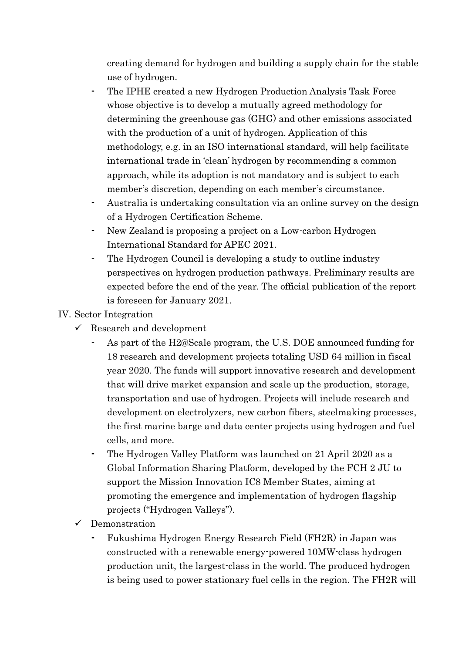creating demand for hydrogen and building a supply chain for the stable use of hydrogen.

- ⁃ The IPHE created a new Hydrogen Production Analysis Task Force whose objective is to develop a mutually agreed methodology for determining the greenhouse gas (GHG) and other emissions associated with the production of a unit of hydrogen. Application of this methodology, e.g. in an ISO international standard, will help facilitate international trade in 'clean' hydrogen by recommending a common approach, while its adoption is not mandatory and is subject to each member's discretion, depending on each member's circumstance.
- Australia is undertaking consultation via an online survey on the design of a Hydrogen Certification Scheme.
- New Zealand is proposing a project on a Low-carbon Hydrogen International Standard for APEC 2021.
- The Hydrogen Council is developing a study to outline industry perspectives on hydrogen production pathways. Preliminary results are expected before the end of the year. The official publication of the report is foreseen for January 2021.

### IV. Sector Integration

- $\checkmark$  Research and development
	- As part of the H2@Scale program, the U.S. DOE announced funding for 18 research and development projects totaling USD 64 million in fiscal year 2020. The funds will support innovative research and development that will drive market expansion and scale up the production, storage, transportation and use of hydrogen. Projects will include research and development on electrolyzers, new carbon fibers, steelmaking processes, the first marine barge and data center projects using hydrogen and fuel cells, and more.
	- The Hydrogen Valley Platform was launched on 21 April 2020 as a Global Information Sharing Platform, developed by the FCH 2 JU to support the Mission Innovation IC8 Member States, aiming at promoting the emergence and implementation of hydrogen flagship projects ("Hydrogen Valleys").
- Demonstration
	- ⁃ Fukushima Hydrogen Energy Research Field (FH2R) in Japan was constructed with a renewable energy-powered 10MW-class hydrogen production unit, the largest-class in the world. The produced hydrogen is being used to power stationary fuel cells in the region. The FH2R will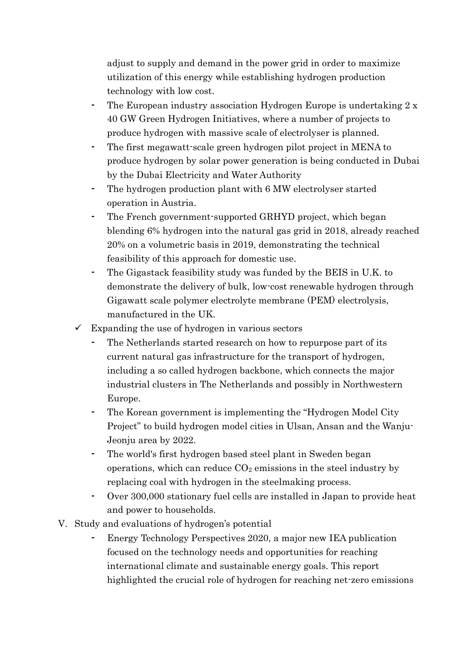adjust to supply and demand in the power grid in order to maximize utilization of this energy while establishing hydrogen production technology with low cost.

- The European industry association Hydrogen Europe is undertaking 2 x 40 GW Green Hydrogen Initiatives, where a number of projects to produce hydrogen with massive scale of electrolyser is planned.
- The first megawatt-scale green hydrogen pilot project in MENA to produce hydrogen by solar power generation is being conducted in Dubai by the Dubai Electricity and Water Authority
- The hydrogen production plant with 6 MW electrolyser started operation in Austria.
- The French government-supported GRHYD project, which began blending 6% hydrogen into the natural gas grid in 2018, already reached 20% on a volumetric basis in 2019, demonstrating the technical feasibility of this approach for domestic use.
- The Gigastack feasibility study was funded by the BEIS in U.K. to demonstrate the delivery of bulk, low-cost renewable hydrogen through Gigawatt scale polymer electrolyte membrane (PEM) electrolysis, manufactured in the UK.
- $\checkmark$  Expanding the use of hydrogen in various sectors
	- The Netherlands started research on how to repurpose part of its current natural gas infrastructure for the transport of hydrogen, including a so called hydrogen backbone, which connects the major industrial clusters in The Netherlands and possibly in Northwestern Europe.
	- The Korean government is implementing the "Hydrogen Model City" Project" to build hydrogen model cities in Ulsan, Ansan and the Wanju-Jeonju area by 2022.
	- ⁃ The world's first hydrogen based steel plant in Sweden began operations, which can reduce  $CO<sub>2</sub>$  emissions in the steel industry by replacing coal with hydrogen in the steelmaking process.
	- Over 300,000 stationary fuel cells are installed in Japan to provide heat and power to households.
- V. Study and evaluations of hydrogen's potential
	- ⁃ Energy Technology Perspectives 2020, a major new IEA publication focused on the technology needs and opportunities for reaching international climate and sustainable energy goals. This report highlighted the crucial role of hydrogen for reaching net-zero emissions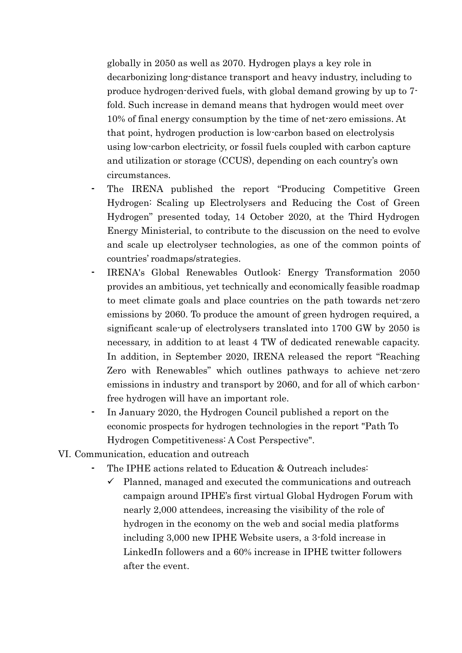globally in 2050 as well as 2070. Hydrogen plays a key role in decarbonizing long-distance transport and heavy industry, including to produce hydrogen-derived fuels, with global demand growing by up to 7 fold. Such increase in demand means that hydrogen would meet over 10% of final energy consumption by the time of net-zero emissions. At that point, hydrogen production is low-carbon based on electrolysis using low-carbon electricity, or fossil fuels coupled with carbon capture and utilization or storage (CCUS), depending on each country's own circumstances.

- The IRENA published the report "Producing Competitive Green" Hydrogen: Scaling up Electrolysers and Reducing the Cost of Green Hydrogen" presented today, 14 October 2020, at the Third Hydrogen Energy Ministerial, to contribute to the discussion on the need to evolve and scale up electrolyser technologies, as one of the common points of countries' roadmaps/strategies.
- ⁃ IRENA's Global Renewables Outlook: Energy Transformation 2050 provides an ambitious, yet technically and economically feasible roadmap to meet climate goals and place countries on the path towards net-zero emissions by 2060. To produce the amount of green hydrogen required, a significant scale-up of electrolysers translated into 1700 GW by 2050 is necessary, in addition to at least 4 TW of dedicated renewable capacity. In addition, in September 2020, IRENA released the report "Reaching Zero with Renewables" which outlines pathways to achieve net-zero emissions in industry and transport by 2060, and for all of which carbonfree hydrogen will have an important role.
- In January 2020, the Hydrogen Council published a report on the economic prospects for hydrogen technologies in the report "Path To Hydrogen Competitiveness: A Cost Perspective".
- VI. Communication, education and outreach
	- The IPHE actions related to Education & Outreach includes:
		- $\checkmark$  Planned, managed and executed the communications and outreach campaign around IPHE's first virtual Global Hydrogen Forum with nearly 2,000 attendees, increasing the visibility of the role of hydrogen in the economy on the web and social media platforms including 3,000 new IPHE Website users, a 3-fold increase in LinkedIn followers and a 60% increase in IPHE twitter followers after the event.